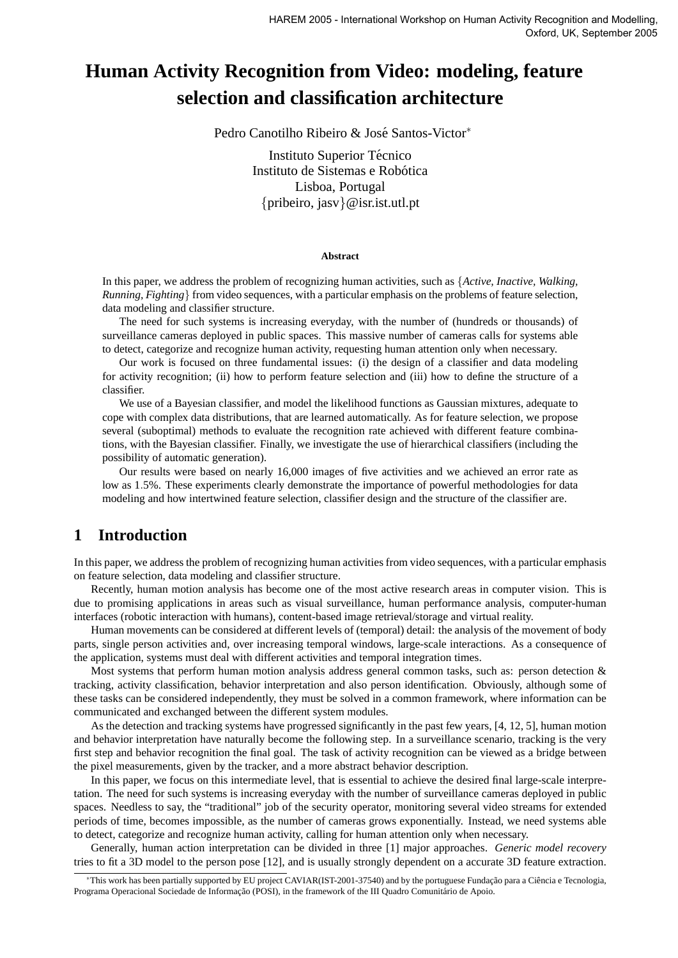# **Human Activity Recognition from Video: modeling, feature selection and classification architecture**

Pedro Canotilho Ribeiro & José Santos-Victor\*

Instituto Superior Técnico Instituto de Sistemas e Robótica Lisboa, Portugal {pribeiro, jasv}@isr.ist.utl.pt

#### **Abstract**

In this paper, we address the problem of recognizing human activities, such as {*Active, Inactive, Walking, Running, Fighting*} from video sequences, with a particular emphasis on the problems of feature selection, data modeling and classifier structure.

The need for such systems is increasing everyday, with the number of (hundreds or thousands) of surveillance cameras deployed in public spaces. This massive number of cameras calls for systems able to detect, categorize and recognize human activity, requesting human attention only when necessary.

Our work is focused on three fundamental issues: (i) the design of a classifier and data modeling for activity recognition; (ii) how to perform feature selection and (iii) how to define the structure of a classifier.

We use of a Bayesian classifier, and model the likelihood functions as Gaussian mixtures, adequate to cope with complex data distributions, that are learned automatically. As for feature selection, we propose several (suboptimal) methods to evaluate the recognition rate achieved with different feature combinations, with the Bayesian classifier. Finally, we investigate the use of hierarchical classifiers (including the possibility of automatic generation).

Our results were based on nearly 16,000 images of five activities and we achieved an error rate as low as 1.5%. These experiments clearly demonstrate the importance of powerful methodologies for data modeling and how intertwined feature selection, classifier design and the structure of the classifier are.

## **1 Introduction**

In this paper, we address the problem of recognizing human activities from video sequences, with a particular emphasis on feature selection, data modeling and classifier structure.

Recently, human motion analysis has become one of the most active research areas in computer vision. This is due to promising applications in areas such as visual surveillance, human performance analysis, computer-human interfaces (robotic interaction with humans), content-based image retrieval/storage and virtual reality.

Human movements can be considered at different levels of (temporal) detail: the analysis of the movement of body parts, single person activities and, over increasing temporal windows, large-scale interactions. As a consequence of the application, systems must deal with different activities and temporal integration times.

Most systems that perform human motion analysis address general common tasks, such as: person detection  $\&$ tracking, activity classification, behavior interpretation and also person identification. Obviously, although some of these tasks can be considered independently, they must be solved in a common framework, where information can be communicated and exchanged between the different system modules.

As the detection and tracking systems have progressed significantly in the past few years, [4, 12, 5], human motion and behavior interpretation have naturally become the following step. In a surveillance scenario, tracking is the very first step and behavior recognition the final goal. The task of activity recognition can be viewed as a bridge between the pixel measurements, given by the tracker, and a more abstract behavior description.

In this paper, we focus on this intermediate level, that is essential to achieve the desired final large-scale interpretation. The need for such systems is increasing everyday with the number of surveillance cameras deployed in public spaces. Needless to say, the "traditional" job of the security operator, monitoring several video streams for extended periods of time, becomes impossible, as the number of cameras grows exponentially. Instead, we need systems able to detect, categorize and recognize human activity, calling for human attention only when necessary.

Generally, human action interpretation can be divided in three [1] major approaches. *Generic model recovery* tries to fit a 3D model to the person pose [12], and is usually strongly dependent on a accurate 3D feature extraction.

<sup>\*</sup>This work has been partially supported by EU project CAVIAR(IST-2001-37540) and by the portuguese Fundação para a Ciência e Tecnologia, Programa Operacional Sociedade de Informação (POSI), in the framework of the III Quadro Comunitário de Apoio.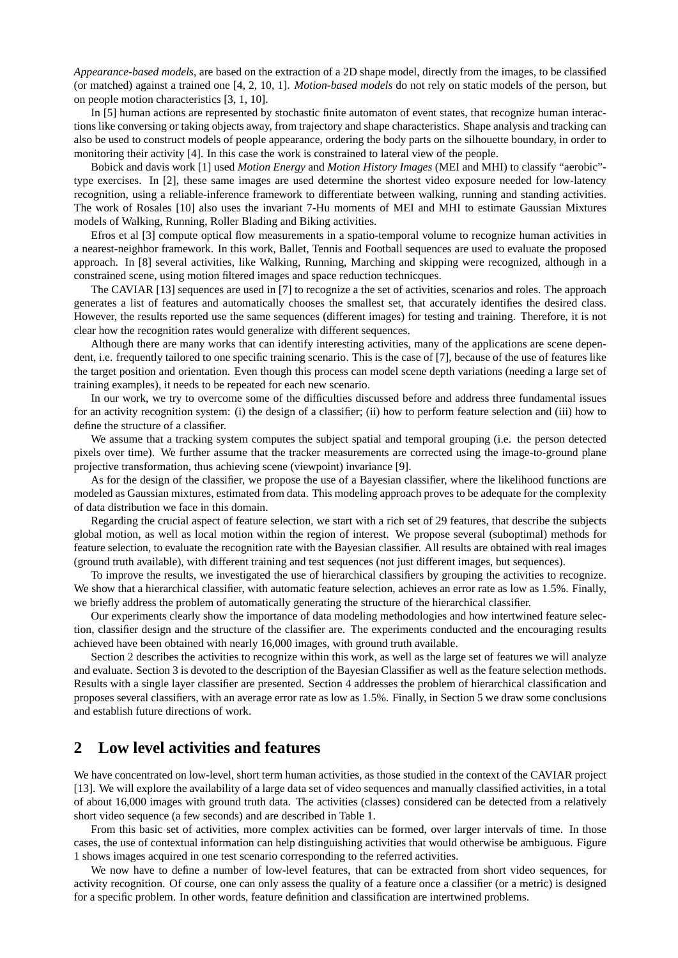*Appearance-based models*, are based on the extraction of a 2D shape model, directly from the images, to be classified (or matched) against a trained one [4, 2, 10, 1]. *Motion-based models* do not rely on static models of the person, but on people motion characteristics [3, 1, 10].

In [5] human actions are represented by stochastic finite automaton of event states, that recognize human interactions like conversing or taking objects away, from trajectory and shape characteristics. Shape analysis and tracking can also be used to construct models of people appearance, ordering the body parts on the silhouette boundary, in order to monitoring their activity [4]. In this case the work is constrained to lateral view of the people.

Bobick and davis work [1] used *Motion Energy* and *Motion History Images* (MEI and MHI) to classify "aerobic" type exercises. In [2], these same images are used determine the shortest video exposure needed for low-latency recognition, using a reliable-inference framework to differentiate between walking, running and standing activities. The work of Rosales [10] also uses the invariant 7-Hu moments of MEI and MHI to estimate Gaussian Mixtures models of Walking, Running, Roller Blading and Biking activities.

Efros et al [3] compute optical flow measurements in a spatio-temporal volume to recognize human activities in a nearest-neighbor framework. In this work, Ballet, Tennis and Football sequences are used to evaluate the proposed approach. In [8] several activities, like Walking, Running, Marching and skipping were recognized, although in a constrained scene, using motion filtered images and space reduction technicques.

The CAVIAR [13] sequences are used in [7] to recognize a the set of activities, scenarios and roles. The approach generates a list of features and automatically chooses the smallest set, that accurately identifies the desired class. However, the results reported use the same sequences (different images) for testing and training. Therefore, it is not clear how the recognition rates would generalize with different sequences.

Although there are many works that can identify interesting activities, many of the applications are scene dependent, i.e. frequently tailored to one specific training scenario. This is the case of [7], because of the use of features like the target position and orientation. Even though this process can model scene depth variations (needing a large set of training examples), it needs to be repeated for each new scenario.

In our work, we try to overcome some of the difficulties discussed before and address three fundamental issues for an activity recognition system: (i) the design of a classifier; (ii) how to perform feature selection and (iii) how to define the structure of a classifier.

We assume that a tracking system computes the subject spatial and temporal grouping (i.e. the person detected pixels over time). We further assume that the tracker measurements are corrected using the image-to-ground plane projective transformation, thus achieving scene (viewpoint) invariance [9].

As for the design of the classifier, we propose the use of a Bayesian classifier, where the likelihood functions are modeled as Gaussian mixtures, estimated from data. This modeling approach proves to be adequate for the complexity of data distribution we face in this domain.

Regarding the crucial aspect of feature selection, we start with a rich set of 29 features, that describe the subjects global motion, as well as local motion within the region of interest. We propose several (suboptimal) methods for feature selection, to evaluate the recognition rate with the Bayesian classifier. All results are obtained with real images (ground truth available), with different training and test sequences (not just different images, but sequences).

To improve the results, we investigated the use of hierarchical classifiers by grouping the activities to recognize. We show that a hierarchical classifier, with automatic feature selection, achieves an error rate as low as 1.5%. Finally, we briefly address the problem of automatically generating the structure of the hierarchical classifier.

Our experiments clearly show the importance of data modeling methodologies and how intertwined feature selection, classifier design and the structure of the classifier are. The experiments conducted and the encouraging results achieved have been obtained with nearly 16,000 images, with ground truth available.

Section 2 describes the activities to recognize within this work, as well as the large set of features we will analyze and evaluate. Section 3 is devoted to the description of the Bayesian Classifier as well as the feature selection methods. Results with a single layer classifier are presented. Section 4 addresses the problem of hierarchical classification and proposes several classifiers, with an average error rate as low as 1.5%. Finally, in Section 5 we draw some conclusions and establish future directions of work.

## **2 Low level activities and features**

We have concentrated on low-level, short term human activities, as those studied in the context of the CAVIAR project [13]. We will explore the availability of a large data set of video sequences and manually classified activities, in a total of about 16,000 images with ground truth data. The activities (classes) considered can be detected from a relatively short video sequence (a few seconds) and are described in Table 1.

From this basic set of activities, more complex activities can be formed, over larger intervals of time. In those cases, the use of contextual information can help distinguishing activities that would otherwise be ambiguous. Figure 1 shows images acquired in one test scenario corresponding to the referred activities.

We now have to define a number of low-level features, that can be extracted from short video sequences, for activity recognition. Of course, one can only assess the quality of a feature once a classifier (or a metric) is designed for a specific problem. In other words, feature definition and classification are intertwined problems.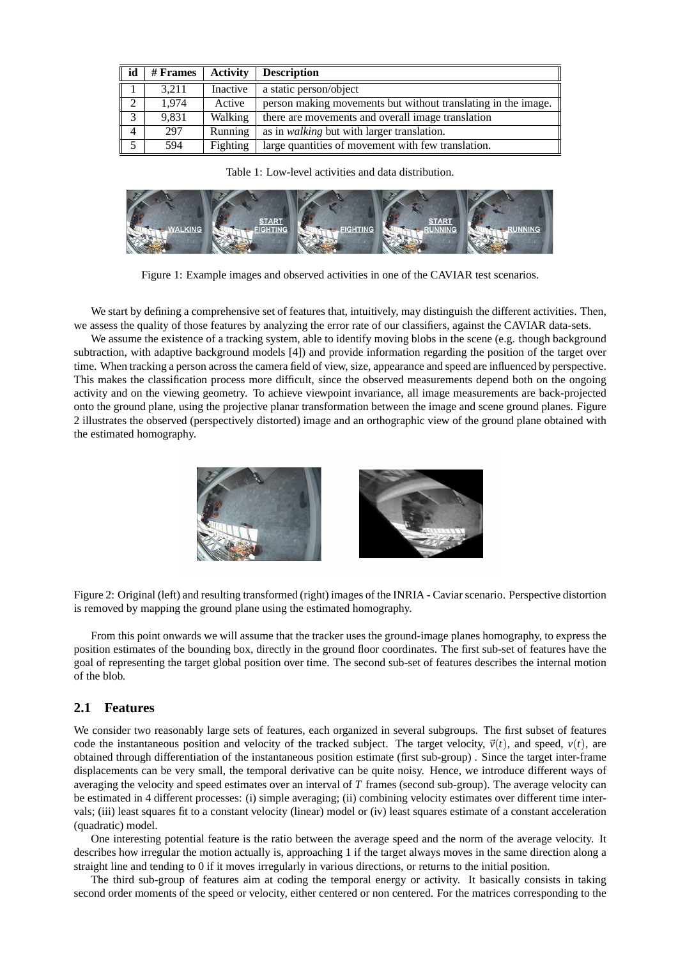| id             | # Frames | <b>Activity</b> | <b>Description</b>                                            |
|----------------|----------|-----------------|---------------------------------------------------------------|
|                | 3.211    | Inactive        | a static person/object                                        |
| $\overline{2}$ | 1.974    | Active          | person making movements but without translating in the image. |
| $\overline{3}$ | 9,831    | Walking         | there are movements and overall image translation             |
| $\overline{4}$ | 297      | Running         | as in <i>walking</i> but with larger translation.             |
| 5              | 594      | Fighting        | large quantities of movement with few translation.            |

Table 1: Low-level activities and data distribution.



Figure 1: Example images and observed activities in one of the CAVIAR test scenarios.

We start by defining a comprehensive set of features that, intuitively, may distinguish the different activities. Then, we assess the quality of those features by analyzing the error rate of our classifiers, against the CAVIAR data-sets.

We assume the existence of a tracking system, able to identify moving blobs in the scene (e.g. though background subtraction, with adaptive background models [4]) and provide information regarding the position of the target over time. When tracking a person across the camera field of view, size, appearance and speed are influenced by perspective. This makes the classification process more difficult, since the observed measurements depend both on the ongoing activity and on the viewing geometry. To achieve viewpoint invariance, all image measurements are back-projected onto the ground plane, using the projective planar transformation between the image and scene ground planes. Figure 2 illustrates the observed (perspectively distorted) image and an orthographic view of the ground plane obtained with the estimated homography.



Figure 2: Original (left) and resulting transformed (right) images of the INRIA - Caviar scenario. Perspective distortion is removed by mapping the ground plane using the estimated homography.

From this point onwards we will assume that the tracker uses the ground-image planes homography, to express the position estimates of the bounding box, directly in the ground floor coordinates. The first sub-set of features have the goal of representing the target global position over time. The second sub-set of features describes the internal motion of the blob.

### **2.1 Features**

We consider two reasonably large sets of features, each organized in several subgroups. The first subset of features code the instantaneous position and velocity of the tracked subject. The target velocity,  $\vec{v}(t)$ , and speed,  $v(t)$ , are obtained through differentiation of the instantaneous position estimate (first sub-group) . Since the target inter-frame displacements can be very small, the temporal derivative can be quite noisy. Hence, we introduce different ways of averaging the velocity and speed estimates over an interval of *T* frames (second sub-group). The average velocity can be estimated in 4 different processes: (i) simple averaging; (ii) combining velocity estimates over different time intervals; (iii) least squares fit to a constant velocity (linear) model or (iv) least squares estimate of a constant acceleration (quadratic) model.

One interesting potential feature is the ratio between the average speed and the norm of the average velocity. It describes how irregular the motion actually is, approaching 1 if the target always moves in the same direction along a straight line and tending to 0 if it moves irregularly in various directions, or returns to the initial position.

The third sub-group of features aim at coding the temporal energy or activity. It basically consists in taking second order moments of the speed or velocity, either centered or non centered. For the matrices corresponding to the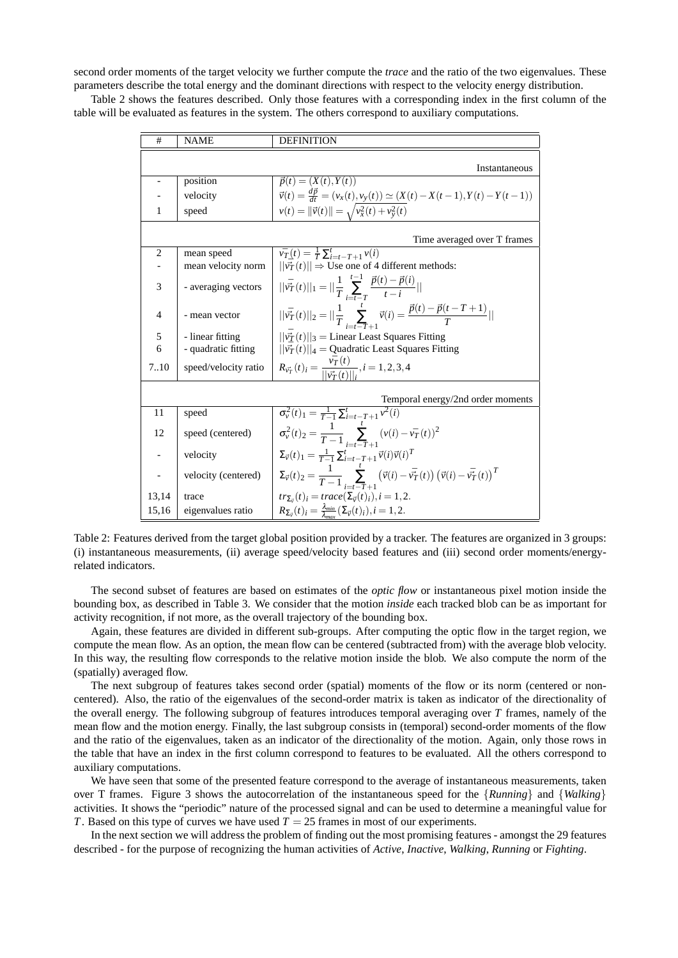second order moments of the target velocity we further compute the *trace* and the ratio of the two eigenvalues. These parameters describe the total energy and the dominant directions with respect to the velocity energy distribution.

Table 2 shows the features described. Only those features with a corresponding index in the first column of the table will be evaluated as features in the system. The others correspond to auxiliary computations.

| #                        | <b>NAME</b>          | <b>DEFINITION</b>                                                                                                                              |
|--------------------------|----------------------|------------------------------------------------------------------------------------------------------------------------------------------------|
|                          |                      |                                                                                                                                                |
|                          |                      | Instantaneous                                                                                                                                  |
| $\overline{\phantom{0}}$ | position             | $\vec{p}(t) = (X(t), Y(t))$                                                                                                                    |
|                          | velocity             | $\vec{v}(t) = \frac{d\vec{p}}{dt} = (v_x(t), v_y(t)) \simeq (X(t) - X(t-1), Y(t) - Y(t-1))$                                                    |
| 1                        | speed                | $v(t) =   \vec{v}(t)   = \sqrt{v_x^2(t) + v_y^2(t)}$                                                                                           |
|                          |                      | Time averaged over T frames                                                                                                                    |
| $\overline{2}$           | mean speed           | $\bar{v}_T(t) = \frac{1}{T} \sum_{i=t-T+1}^{t} v(i)$                                                                                           |
|                          | mean velocity norm   | $  \vec{v_T}(t)   \Rightarrow$ Use one of 4 different methods:                                                                                 |
|                          |                      |                                                                                                                                                |
| 3                        | - averaging vectors  | $  \bar{\vec{v}_T}(t)  _1 =   \frac{1}{T}\sum_{i=t-T}^{t-1} \frac{\vec{p}(t) - \vec{p}(i)}{t-i}  $                                             |
| 4                        | - mean vector        | $  \vec{v_T}(t)  _2 =   \frac{1}{T} \sum_{i=-\infty}^{t} \vec{v}(i) = \frac{\vec{p}(t) - \vec{p}(t - T + 1)}{T}  $                             |
|                          |                      |                                                                                                                                                |
| 5                        | - linear fitting     | $\ \bar{v}_T(t)\ _3 =$ Linear Least Squares Fitting                                                                                            |
| 6                        | - quadratic fitting  | $  \bar{v_T}(t)  _4 =$ Quadratic Least Squares Fitting                                                                                         |
| 7.10                     | speed/velocity ratio | $R_{\vec{v}_T}(t)_i = \frac{v_T(t)}{  \vec{v}_T(t)  }$ , $i = 1, 2, 3, 4$                                                                      |
|                          |                      |                                                                                                                                                |
|                          |                      | Temporal energy/2nd order moments                                                                                                              |
| 11                       | speed                | $\overline{\sigma_v^2(t)_1} = \frac{1}{T-1} \sum_{i=t-T+1}^t v^2(i)$                                                                           |
| 12                       | speed (centered)     | $\sigma_v^2(t)_2 = \frac{1}{T-1} \sum_{i=t-T+1}^{r} (v(i) - \bar{v_T}(t))^2$                                                                   |
|                          | velocity             | $\Sigma_{\vec{v}}(t)_1 = \frac{1}{T-1} \sum_{i=t-T+1}^t \vec{v}(i) \vec{v}(i)^T$                                                               |
|                          | velocity (centered)  | $\Sigma_{\vec{v}}(t)_2 = \frac{1}{T-1} \sum_{i=1}^{T} \left( \vec{v}(i) - \vec{v}_T^T(t) \right) \left( \vec{v}(i) - \vec{v}_T^T(t) \right)^T$ |
| 13,14                    | trace                | $tr_{\Sigma_{\vec{v}}}(t)_i = trace(\Sigma_{\vec{v}}(t)_i), i = 1, 2.$                                                                         |
| 15,16                    | eigenvalues ratio    | $R_{\Sigma_{\vec{v}}}(t)_i = \frac{\lambda_{\text{min}}}{\lambda_{\text{max}}} (\Sigma_{\vec{v}}(t)_i), i = 1, 2.$                             |

Table 2: Features derived from the target global position provided by a tracker. The features are organized in 3 groups: (i) instantaneous measurements, (ii) average speed/velocity based features and (iii) second order moments/energyrelated indicators.

The second subset of features are based on estimates of the *optic flow* or instantaneous pixel motion inside the bounding box, as described in Table 3. We consider that the motion *inside* each tracked blob can be as important for activity recognition, if not more, as the overall trajectory of the bounding box.

Again, these features are divided in different sub-groups. After computing the optic flow in the target region, we compute the mean flow. As an option, the mean flow can be centered (subtracted from) with the average blob velocity. In this way, the resulting flow corresponds to the relative motion inside the blob. We also compute the norm of the (spatially) averaged flow.

The next subgroup of features takes second order (spatial) moments of the flow or its norm (centered or noncentered). Also, the ratio of the eigenvalues of the second-order matrix is taken as indicator of the directionality of the overall energy. The following subgroup of features introduces temporal averaging over *T* frames, namely of the mean flow and the motion energy. Finally, the last subgroup consists in (temporal) second-order moments of the flow and the ratio of the eigenvalues, taken as an indicator of the directionality of the motion. Again, only those rows in the table that have an index in the first column correspond to features to be evaluated. All the others correspond to auxiliary computations.

We have seen that some of the presented feature correspond to the average of instantaneous measurements, taken over T frames. Figure 3 shows the autocorrelation of the instantaneous speed for the {*Running*} and {*Walking*} activities. It shows the "periodic" nature of the processed signal and can be used to determine a meaningful value for *T*. Based on this type of curves we have used  $T = 25$  frames in most of our experiments.

In the next section we will address the problem of finding out the most promising features - amongst the 29 features described - for the purpose of recognizing the human activities of *Active*, *Inactive*, *Walking*, *Running* or *Fighting*.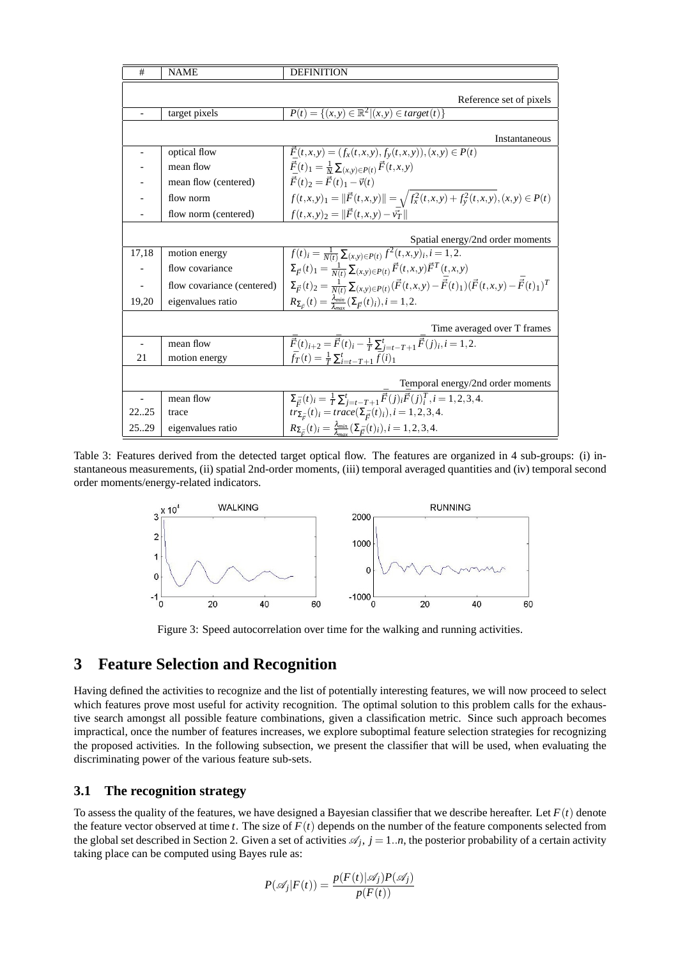| #                        | <b>NAME</b>                | <b>DEFINITION</b>                                                                                                                                    |
|--------------------------|----------------------------|------------------------------------------------------------------------------------------------------------------------------------------------------|
|                          |                            |                                                                                                                                                      |
|                          |                            | Reference set of pixels                                                                                                                              |
|                          | target pixels              | $P(t) = \{(x, y) \in \mathbb{R}^2   (x, y) \in target(t) \}$                                                                                         |
|                          |                            |                                                                                                                                                      |
|                          |                            | Instantaneous                                                                                                                                        |
|                          | optical flow               | $\vec{F}(t,x,y) = (f_x(t,x,y), f_y(t,x,y)), (x,y) \in P(t)$                                                                                          |
|                          | mean flow                  | $\vec{F}(t)_1 = \frac{1}{N} \sum_{(x,y)\in P(t)} \vec{F}(t,x,y)$                                                                                     |
|                          | mean flow (centered)       | $\vec{F}(t)_2 = \vec{F}(t)_1 - \vec{v}(t)$                                                                                                           |
|                          | flow norm                  | $f(t,x,y)_1 =   \vec{F}(t,x,y)   = \sqrt{f_x^2(t,x,y) + f_y^2(t,x,y)}, (x,y) \in P(t)$                                                               |
|                          | flow norm (centered)       | $f(t, x, y)_2 =   \vec{F}(t, x, y) - \vec{v}_T  $                                                                                                    |
|                          |                            |                                                                                                                                                      |
|                          |                            | Spatial energy/2nd order moments                                                                                                                     |
| 17,18                    | motion energy              | $\overline{f}(t)_i = \frac{1}{N(t)} \sum_{(x,y)\in P(t)} f^2(t,x,y)_i, i=1,2.$                                                                       |
|                          | flow covariance            | $\Sigma_{\vec{F}}(t)_1 = \frac{1}{N(t)} \sum_{(x,y) \in P(t)} \vec{F}(t,x,y) \vec{F}^T(t,x,y)$                                                       |
| $\overline{\phantom{a}}$ | flow covariance (centered) | $\Sigma_{\vec{F}}(t)_{2} = \frac{1}{N(t)} \sum_{(x,y) \in P(t)} (\vec{F}(t,x,y) - \vec{\bar{F}}(t)_{1}) (\vec{F}(t,x,y) - \vec{\bar{F}}(t)_{1})^{T}$ |
| 19,20                    | eigenvalues ratio          | $R_{\Sigma_{\vec{F}}}(t) = \frac{\lambda_{min}}{\lambda_{max}}(\Sigma_{\vec{F}}(t)_i), i = 1, 2.$                                                    |
|                          |                            |                                                                                                                                                      |
|                          |                            | Time averaged over T frames                                                                                                                          |
|                          | mean flow                  | $\overline{\vec{F}}(t)_{i+2} = \overline{\vec{F}}(t)_{i} - \frac{1}{T} \sum_{i=t-T+1}^{t} \overline{\vec{F}}(j)_{i}, i = 1, 2.$                      |
| 21                       | motion energy              | $\bar{f}_T(t) = \frac{1}{T} \sum_{i=t-T+1}^t \bar{f}(i)_1$                                                                                           |
|                          |                            |                                                                                                                                                      |
|                          |                            | Temporal energy/2nd order moments                                                                                                                    |
|                          | mean flow                  | $\Sigma_{\vec{r}}(t)_{i} = \frac{1}{T} \sum_{i=t-T+1}^{t} \vec{\vec{F}}(j)_{i} \vec{\vec{F}}(j)_{i}^{T}, i = 1, 2, 3, 4.$                            |
| 2225                     | trace                      | $tr_{\Sigma_{\vec{r}}}(t)_i = trace(\Sigma_{\vec{r}}(t)_i), i = 1, 2, 3, 4.$                                                                         |
| 25.29                    | eigenvalues ratio          | $R_{\Sigma_{\vec{F}}}(t)_i = \frac{\lambda_{min}}{\lambda_{max}}(\Sigma_{\vec{F}}(t)_i), i = 1, 2, 3, 4.$                                            |

Table 3: Features derived from the detected target optical flow. The features are organized in 4 sub-groups: (i) instantaneous measurements, (ii) spatial 2nd-order moments, (iii) temporal averaged quantities and (iv) temporal second order moments/energy-related indicators.



Figure 3: Speed autocorrelation over time for the walking and running activities.

## **3 Feature Selection and Recognition**

Having defined the activities to recognize and the list of potentially interesting features, we will now proceed to select which features prove most useful for activity recognition. The optimal solution to this problem calls for the exhaustive search amongst all possible feature combinations, given a classification metric. Since such approach becomes impractical, once the number of features increases, we explore suboptimal feature selection strategies for recognizing the proposed activities. In the following subsection, we present the classifier that will be used, when evaluating the discriminating power of the various feature sub-sets.

#### **3.1 The recognition strategy**

To assess the quality of the features, we have designed a Bayesian classifier that we describe hereafter. Let  $F(t)$  denote the feature vector observed at time  $t$ . The size of  $F(t)$  depends on the number of the feature components selected from the global set described in Section 2. Given a set of activities  $\mathcal{A}_j$ ,  $j = 1..n$ , the posterior probability of a certain activity taking place can be computed using Bayes rule as:

$$
P(\mathscr{A}_j|F(t)) = \frac{p(F(t)|\mathscr{A}_j)P(\mathscr{A}_j)}{p(F(t))}
$$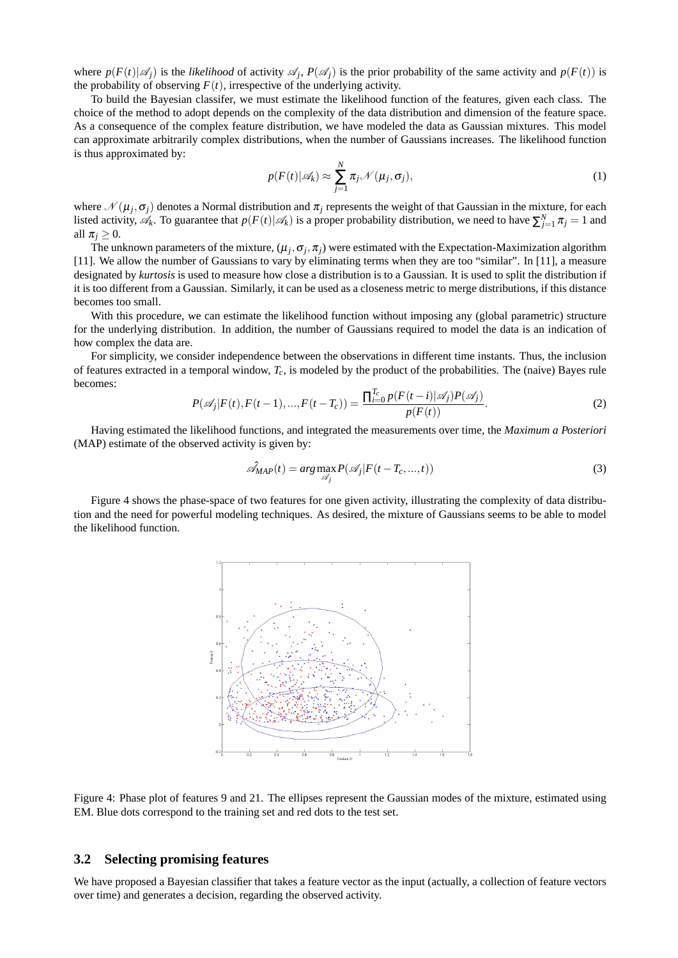where  $p(F(t)|\mathscr{A}_j)$  is the *likelihood* of activity  $\mathscr{A}_j$ ,  $P(\mathscr{A}_j)$  is the prior probability of the same activity and  $p(F(t))$  is the probability of observing  $F(t)$ , irrespective of the underlying activity.

To build the Bayesian classifer, we must estimate the likelihood function of the features, given each class. The choice of the method to adopt depends on the complexity of the data distribution and dimension of the feature space. As a consequence of the complex feature distribution, we have modeled the data as Gaussian mixtures. This model can approximate arbitrarily complex distributions, when the number of Gaussians increases. The likelihood function is thus approximated by:

$$
p(F(t)|\mathscr{A}_k) \approx \sum_{j=1}^N \pi_j \mathscr{N}(\mu_j, \sigma_j),
$$
 (1)

where  $\mathcal{N}(\mu_j, \sigma_j)$  denotes a Normal distribution and  $\pi_j$  represents the weight of that Gaussian in the mixture, for each listed activity,  $A_k$ . To guarantee that  $p(F(t)|A_k)$  is a proper probability distribution, we need to have  $\sum_{j=1}^{N} \pi_j = 1$  and all  $\pi_i \geq 0$ .

The unknown parameters of the mixture,  $(\mu_j, \sigma_j, \pi_j)$  were estimated with the Expectation-Maximization algorithm [11]. We allow the number of Gaussians to vary by eliminating terms when they are too "similar". In [11], a measure designated by *kurtosis* is used to measure how close a distribution is to a Gaussian. It is used to split the distribution if it is too different from a Gaussian. Similarly, it can be used as a closeness metric to merge distributions, if this distance becomes too small.

With this procedure, we can estimate the likelihood function without imposing any (global parametric) structure for the underlying distribution. In addition, the number of Gaussians required to model the data is an indication of how complex the data are.

For simplicity, we consider independence between the observations in different time instants. Thus, the inclusion of features extracted in a temporal window, *Tc*, is modeled by the product of the probabilities. The (naive) Bayes rule becomes:

$$
P(\mathscr{A}_j|F(t), F(t-1), ..., F(t-T_c)) = \frac{\prod_{i=0}^{T_c} p(F(t-i)|\mathscr{A}_j) P(\mathscr{A}_j)}{p(F(t))}.
$$
 (2)

Having estimated the likelihood functions, and integrated the measurements over time, the *Maximum a Posteriori* (MAP) estimate of the observed activity is given by:

$$
\mathcal{A}_{MAP}(t) = arg \max_{\mathcal{A}_j} P(\mathcal{A}_j | F(t - T_c, ..., t))
$$
\n(3)

Figure 4 shows the phase-space of two features for one given activity, illustrating the complexity of data distribution and the need for powerful modeling techniques. As desired, the mixture of Gaussians seems to be able to model the likelihood function.



Figure 4: Phase plot of features 9 and 21. The ellipses represent the Gaussian modes of the mixture, estimated using EM. Blue dots correspond to the training set and red dots to the test set.

#### **3.2 Selecting promising features**

We have proposed a Bayesian classifier that takes a feature vector as the input (actually, a collection of feature vectors over time) and generates a decision, regarding the observed activity.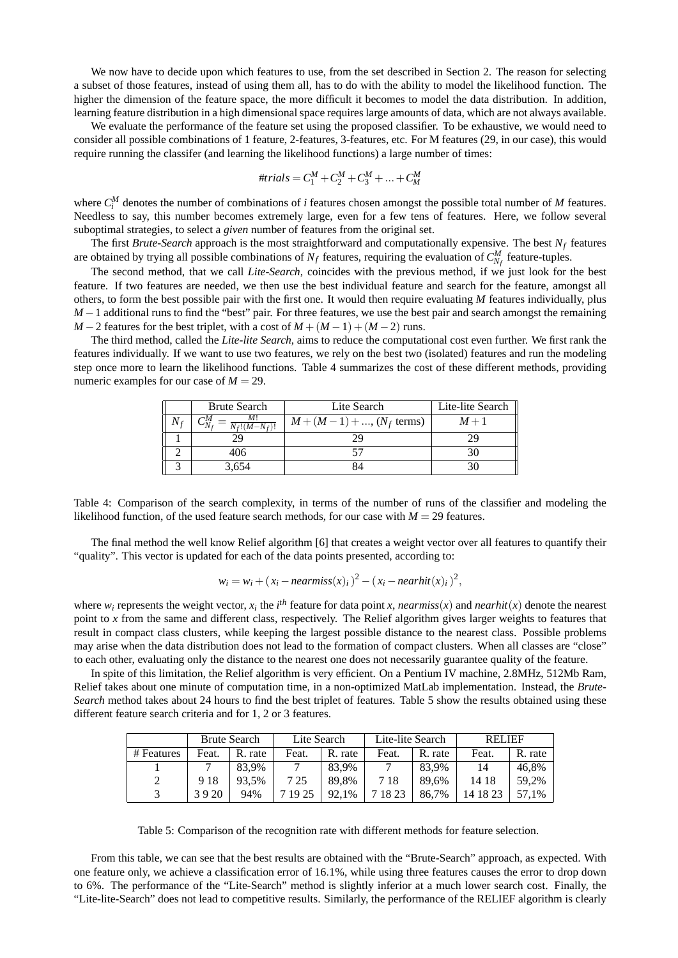We now have to decide upon which features to use, from the set described in Section 2. The reason for selecting a subset of those features, instead of using them all, has to do with the ability to model the likelihood function. The higher the dimension of the feature space, the more difficult it becomes to model the data distribution. In addition, learning feature distribution in a high dimensional space requires large amounts of data, which are not always available.

We evaluate the performance of the feature set using the proposed classifier. To be exhaustive, we would need to consider all possible combinations of 1 feature, 2-features, 3-features, etc. For M features (29, in our case), this would require running the classifer (and learning the likelihood functions) a large number of times:

#trials = 
$$
C_1^M + C_2^M + C_3^M + \dots + C_M^M
$$

where  $C_i^M$  denotes the number of combinations of *i* features chosen amongst the possible total number of *M* features. Needless to say, this number becomes extremely large, even for a few tens of features. Here, we follow several suboptimal strategies, to select a *given* number of features from the original set.

The first *Brute-Search* approach is the most straightforward and computationally expensive. The best *N<sup>f</sup>* features are obtained by trying all possible combinations of  $N_f$  features, requiring the evaluation of  $C_{N_f}^M$  feature-tuples.

The second method, that we call *Lite-Search*, coincides with the previous method, if we just look for the best feature. If two features are needed, we then use the best individual feature and search for the feature, amongst all others, to form the best possible pair with the first one. It would then require evaluating *M* features individually, plus *M* − 1 additional runs to find the "best" pair. For three features, we use the best pair and search amongst the remaining *M* − 2 features for the best triplet, with a cost of  $M + (M-1) + (M-2)$  runs.

The third method, called the *Lite-lite Search*, aims to reduce the computational cost even further. We first rank the features individually. If we want to use two features, we rely on the best two (isolated) features and run the modeling step once more to learn the likelihood functions. Table 4 summarizes the cost of these different methods, providing numeric examples for our case of  $M = 29$ .

| <b>Brute Search</b> | Lite Search                   | Lite-lite Search |  |  |
|---------------------|-------------------------------|------------------|--|--|
| $N_f!(M-N_f)!$      | $M + (M - 1) + , (N_f$ terms) | $M+1$            |  |  |
|                     |                               |                  |  |  |
| 406                 |                               |                  |  |  |
| 3,654               |                               |                  |  |  |

Table 4: Comparison of the search complexity, in terms of the number of runs of the classifier and modeling the likelihood function, of the used feature search methods, for our case with  $M = 29$  features.

The final method the well know Relief algorithm [6] that creates a weight vector over all features to quantify their "quality". This vector is updated for each of the data points presented, according to:

$$
w_i = w_i + (x_i - \text{nearmiss}(x)_i)^2 - (x_i - \text{nearhit}(x)_i)^2,
$$

where  $w_i$  represents the weight vector,  $x_i$  the  $i^{th}$  feature for data point *x*, *nearmiss*(*x*) and *nearhit*(*x*) denote the nearest point to *x* from the same and different class, respectively. The Relief algorithm gives larger weights to features that result in compact class clusters, while keeping the largest possible distance to the nearest class. Possible problems may arise when the data distribution does not lead to the formation of compact clusters. When all classes are "close" to each other, evaluating only the distance to the nearest one does not necessarily guarantee quality of the feature.

In spite of this limitation, the Relief algorithm is very efficient. On a Pentium IV machine, 2.8MHz, 512Mb Ram, Relief takes about one minute of computation time, in a non-optimized MatLab implementation. Instead, the *Brute-Search* method takes about 24 hours to find the best triplet of features. Table 5 show the results obtained using these different feature search criteria and for 1, 2 or 3 features.

|            | <b>Brute Search</b> |       | Lite Search |         | Lite-lite Search |         | <b>RELIEF</b> |         |
|------------|---------------------|-------|-------------|---------|------------------|---------|---------------|---------|
| # Features | Feat.<br>R. rate    |       | Feat.       | R. rate | Feat.            | R. rate | Feat.         | R. rate |
|            |                     | 83.9% |             | 83.9%   |                  | 83.9%   | 14            | 46.8%   |
|            | 918                 | 93.5% | 7 25        | 89.8%   | 718              | 89.6%   | 14 18         | 59.2%   |
| 3920       |                     | 94%   | 7 19 25     | 92.1%   | 7 18 23          | 86.7%   | 14 18 23      | 57.1%   |

Table 5: Comparison of the recognition rate with different methods for feature selection.

From this table, we can see that the best results are obtained with the "Brute-Search" approach, as expected. With one feature only, we achieve a classification error of 16.1%, while using three features causes the error to drop down to 6%. The performance of the "Lite-Search" method is slightly inferior at a much lower search cost. Finally, the "Lite-lite-Search" does not lead to competitive results. Similarly, the performance of the RELIEF algorithm is clearly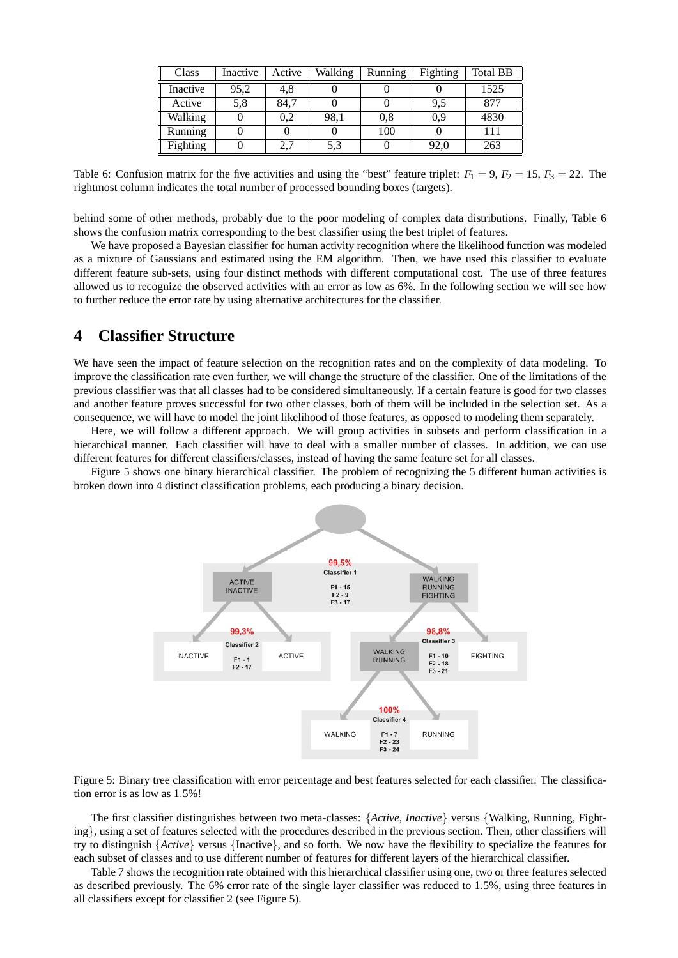| Class    | Inactive | Active | Walking | Running | Fighting | Total BB |
|----------|----------|--------|---------|---------|----------|----------|
| Inactive | 95,2     | 4,8    |         |         |          | 1525     |
| Active   | 5,8      | 84.7   |         |         | 9,5      | 877      |
| Walking  |          | 0.2    | 98,1    | 0.8     | 0,9      | 4830     |
| Running  |          |        |         | 100     |          | 111      |
| Fighting |          | 2.7    | 5.3     |         | 92,0     | 263      |

Table 6: Confusion matrix for the five activities and using the "best" feature triplet:  $F_1 = 9$ ,  $F_2 = 15$ ,  $F_3 = 22$ . The rightmost column indicates the total number of processed bounding boxes (targets).

behind some of other methods, probably due to the poor modeling of complex data distributions. Finally, Table 6 shows the confusion matrix corresponding to the best classifier using the best triplet of features.

We have proposed a Bayesian classifier for human activity recognition where the likelihood function was modeled as a mixture of Gaussians and estimated using the EM algorithm. Then, we have used this classifier to evaluate different feature sub-sets, using four distinct methods with different computational cost. The use of three features allowed us to recognize the observed activities with an error as low as 6%. In the following section we will see how to further reduce the error rate by using alternative architectures for the classifier.

## **4 Classifier Structure**

We have seen the impact of feature selection on the recognition rates and on the complexity of data modeling. To improve the classification rate even further, we will change the structure of the classifier. One of the limitations of the previous classifier was that all classes had to be considered simultaneously. If a certain feature is good for two classes and another feature proves successful for two other classes, both of them will be included in the selection set. As a consequence, we will have to model the joint likelihood of those features, as opposed to modeling them separately.

Here, we will follow a different approach. We will group activities in subsets and perform classification in a hierarchical manner. Each classifier will have to deal with a smaller number of classes. In addition, we can use different features for different classifiers/classes, instead of having the same feature set for all classes.

Figure 5 shows one binary hierarchical classifier. The problem of recognizing the 5 different human activities is broken down into 4 distinct classification problems, each producing a binary decision.



Figure 5: Binary tree classification with error percentage and best features selected for each classifier. The classification error is as low as 1.5%!

The first classifier distinguishes between two meta-classes: {*Active, Inactive*} versus {Walking, Running, Fighting}, using a set of features selected with the procedures described in the previous section. Then, other classifiers will try to distinguish {*Active*} versus {Inactive}, and so forth. We now have the flexibility to specialize the features for each subset of classes and to use different number of features for different layers of the hierarchical classifier.

Table 7 shows the recognition rate obtained with this hierarchical classifier using one, two or three features selected as described previously. The 6% error rate of the single layer classifier was reduced to 1.5%, using three features in all classifiers except for classifier 2 (see Figure 5).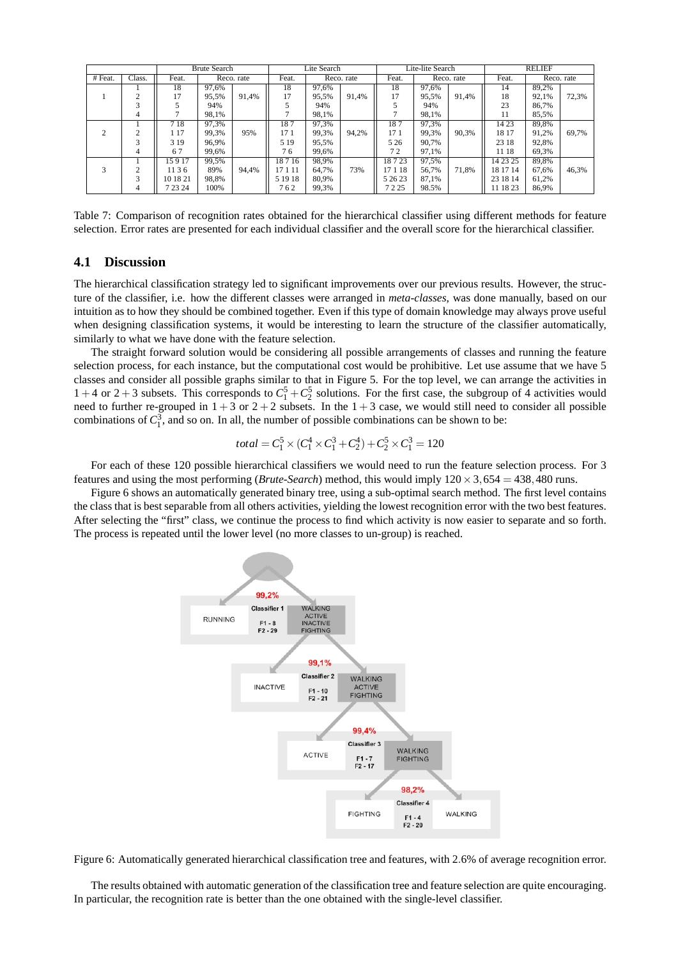|         |        |          | <b>Brute Search</b> |       | Lite Search |            |       | Lite-lite Search |            |       | <b>RELIEF</b> |            |       |
|---------|--------|----------|---------------------|-------|-------------|------------|-------|------------------|------------|-------|---------------|------------|-------|
| # Feat. | Class. | Feat.    | Reco. rate          |       | Feat.       | Reco. rate |       | Feat.            | Reco. rate |       | Feat.         | Reco. rate |       |
|         |        | 18       | 97.6%               |       | 18          | 97.6%      |       | 18               | 97.6%      |       | 14            | 89,2%      |       |
|         |        | 17       | 95.5%               | 91.4% | 17          | 95.5%      | 91.4% | 17               | 95.5%      | 91.4% | 18            | 92.1%      | 72.3% |
|         |        |          | 94%                 |       |             | 94%        |       |                  | 94%        |       | 23            | 86.7%      |       |
|         | 4      |          | 98.1%               |       |             | 98.1%      |       |                  | 98.1%      |       | 11            | 85.5%      |       |
|         |        | 718      | 97.3%               |       | 187         | 97.3%      |       | 187              | 97,3%      |       | 1423          | 89,8%      |       |
|         |        | 1 17     | 99.3%               | 95%   | 171         | 99.3%      | 94.2% | 17 1             | 99.3%      | 90.3% | 18 17         | 91.2%      | 69.7% |
|         |        | 319      | 96.9%               |       | 5 1 9       | 95,5%      |       | 5 2 6            | 90,7%      |       | 23 18         | 92,8%      |       |
|         | 4      | 67       | 99.6%               |       | 76          | 99.6%      |       | 72               | 97.1%      |       | 11 18         | 69,3%      |       |
|         |        | 15917    | 99,5%               |       | 18716       | 98,9%      |       | 18723            | 97,5%      |       | 14 23 25      | 89,8%      |       |
|         |        | 1136     | 89%                 | 94.4% | 17 1 11     | 64.7%      | 73%   | 17 1 18          | 56.7%      | 71.8% | 18 17 14      | 67,6%      | 46,3% |
|         |        | 10 18 21 | 98.8%               |       | 5 19 18     | 80,9%      |       | 5 26 23          | 87.1%      |       | 23 18 14      | 61,2%      |       |
|         | 4      | 7 23 24  | 100%                |       | 762         | 99,3%      |       | 7225             | 98.5%      |       | 11 18 23      | 86,9%      |       |

Table 7: Comparison of recognition rates obtained for the hierarchical classifier using different methods for feature selection. Error rates are presented for each individual classifier and the overall score for the hierarchical classifier.

#### **4.1 Discussion**

The hierarchical classification strategy led to significant improvements over our previous results. However, the structure of the classifier, i.e. how the different classes were arranged in *meta-classes*, was done manually, based on our intuition as to how they should be combined together. Even if this type of domain knowledge may always prove useful when designing classification systems, it would be interesting to learn the structure of the classifier automatically, similarly to what we have done with the feature selection.

The straight forward solution would be considering all possible arrangements of classes and running the feature selection process, for each instance, but the computational cost would be prohibitive. Let use assume that we have 5 classes and consider all possible graphs similar to that in Figure 5. For the top level, we can arrange the activities in  $1 + 4$  or  $2 + 3$  subsets. This corresponds to  $C_1^5 + C_2^5$  solutions. For the first case, the subgroup of 4 activities would need to further re-grouped in  $1+3$  or  $2+2$  subsets. In the  $1+3$  case, we would still need to consider all possible combinations of  $C_1^3$ , and so on. In all, the number of possible combinations can be shown to be:

$$
total = C_1^5 \times (C_1^4 \times C_1^3 + C_2^4) + C_2^5 \times C_1^3 = 120
$$

For each of these 120 possible hierarchical classifiers we would need to run the feature selection process. For 3 features and using the most performing (*Brute-Search*) method, this would imply  $120 \times 3,654 = 438,480$  runs.

Figure 6 shows an automatically generated binary tree, using a sub-optimal search method. The first level contains the class that is best separable from all others activities, yielding the lowest recognition error with the two best features. After selecting the "first" class, we continue the process to find which activity is now easier to separate and so forth. The process is repeated until the lower level (no more classes to un-group) is reached.



Figure 6: Automatically generated hierarchical classification tree and features, with 2.6% of average recognition error.

The results obtained with automatic generation of the classification tree and feature selection are quite encouraging. In particular, the recognition rate is better than the one obtained with the single-level classifier.